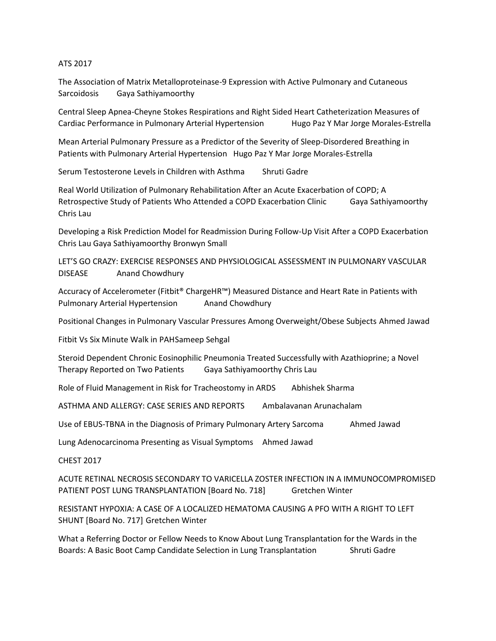## ATS 2017

The Association of Matrix Metalloproteinase-9 Expression with Active Pulmonary and Cutaneous Sarcoidosis Gaya Sathiyamoorthy

Central Sleep Apnea-Cheyne Stokes Respirations and Right Sided Heart Catheterization Measures of Cardiac Performance in Pulmonary Arterial Hypertension Hugo Paz Y Mar Jorge Morales-Estrella

Mean Arterial Pulmonary Pressure as a Predictor of the Severity of Sleep-Disordered Breathing in Patients with Pulmonary Arterial Hypertension Hugo Paz Y Mar Jorge Morales-Estrella

Serum Testosterone Levels in Children with Asthma Shruti Gadre

Real World Utilization of Pulmonary Rehabilitation After an Acute Exacerbation of COPD; A Retrospective Study of Patients Who Attended a COPD Exacerbation Clinic Gaya Sathiyamoorthy Chris Lau

Developing a Risk Prediction Model for Readmission During Follow-Up Visit After a COPD Exacerbation Chris Lau Gaya Sathiyamoorthy Bronwyn Small

LET'S GO CRAZY: EXERCISE RESPONSES AND PHYSIOLOGICAL ASSESSMENT IN PULMONARY VASCULAR DISEASE Anand Chowdhury

Accuracy of Accelerometer (Fitbit® ChargeHR™) Measured Distance and Heart Rate in Patients with Pulmonary Arterial Hypertension Anand Chowdhury

Positional Changes in Pulmonary Vascular Pressures Among Overweight/Obese Subjects Ahmed Jawad

Fitbit Vs Six Minute Walk in PAHSameep Sehgal

Steroid Dependent Chronic Eosinophilic Pneumonia Treated Successfully with Azathioprine; a Novel Therapy Reported on Two Patients Gaya Sathiyamoorthy Chris Lau

Role of Fluid Management in Risk for Tracheostomy in ARDS Abhishek Sharma

ASTHMA AND ALLERGY: CASE SERIES AND REPORTS Ambalavanan Arunachalam

Use of EBUS-TBNA in the Diagnosis of Primary Pulmonary Artery Sarcoma Ahmed Jawad

Lung Adenocarcinoma Presenting as Visual Symptoms Ahmed Jawad

CHEST 2017

ACUTE RETINAL NECROSIS SECONDARY TO VARICELLA ZOSTER INFECTION IN A IMMUNOCOMPROMISED PATIENT POST LUNG TRANSPLANTATION [Board No. 718] Gretchen Winter

RESISTANT HYPOXIA: A CASE OF A LOCALIZED HEMATOMA CAUSING A PFO WITH A RIGHT TO LEFT SHUNT [Board No. 717] Gretchen Winter

What a Referring Doctor or Fellow Needs to Know About Lung Transplantation for the Wards in the Boards: A Basic Boot Camp Candidate Selection in Lung Transplantation Shruti Gadre